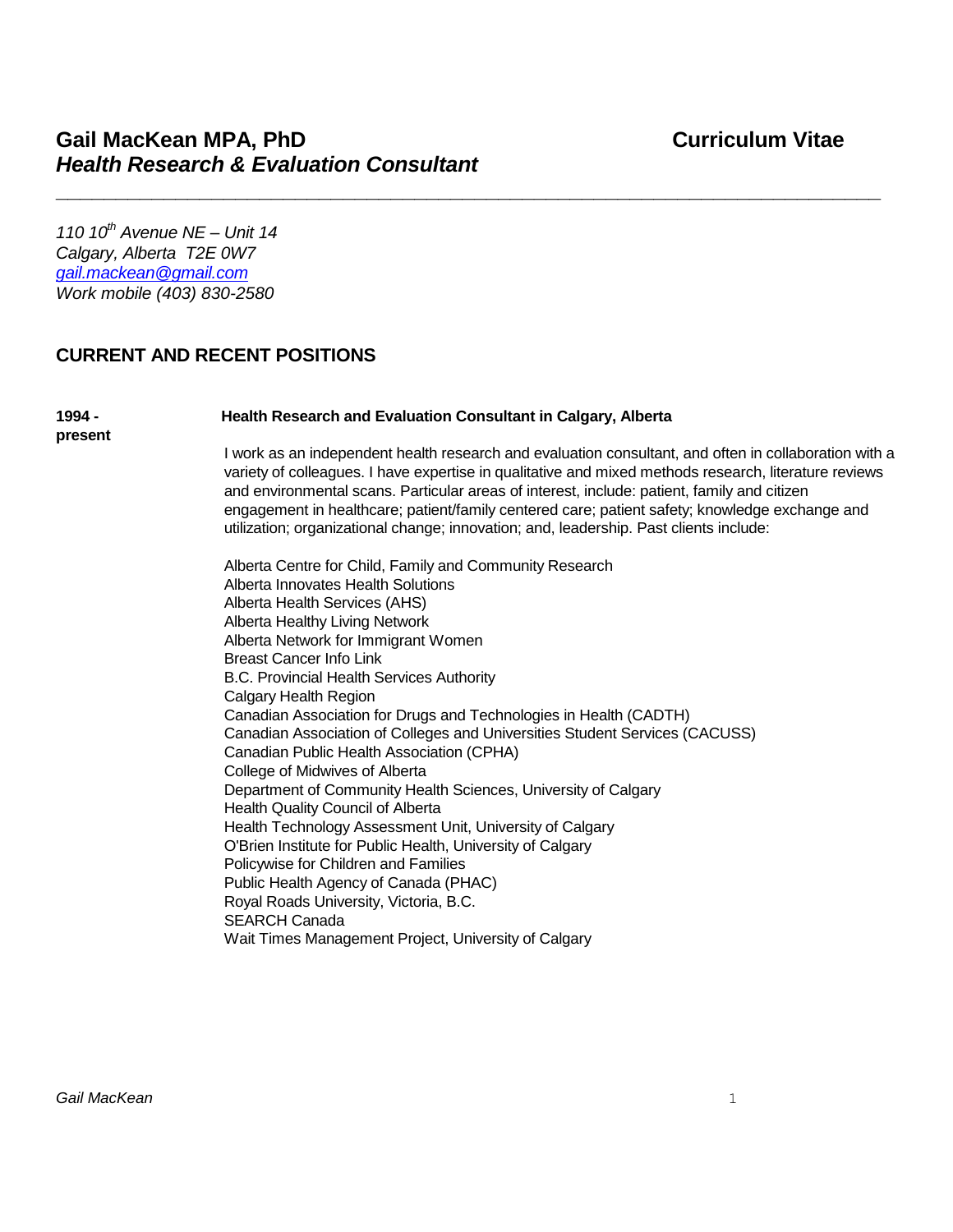*110 10th Avenue NE – Unit 14 Calgary, Alberta T2E 0W7 [gail.mackean@gmail.com](mailto:gail.mackean@gmail.com) Work mobile (403) 830-2580*

### **CURRENT AND RECENT POSITIONS**

#### **1994 - Health Research and Evaluation Consultant in Calgary, Alberta**

**\_\_\_\_\_\_\_\_\_\_\_\_\_\_\_\_\_\_\_\_\_\_\_\_\_\_\_\_\_\_\_\_\_\_\_\_\_\_\_\_\_\_\_\_\_\_\_\_\_\_\_\_\_\_\_\_\_\_\_\_\_\_\_\_\_\_\_\_\_**

**present**

I work as an independent health research and evaluation consultant, and often in collaboration with a variety of colleagues. I have expertise in qualitative and mixed methods research, literature reviews and environmental scans. Particular areas of interest, include: patient, family and citizen engagement in healthcare; patient/family centered care; patient safety; knowledge exchange and utilization; organizational change; innovation; and, leadership. Past clients include:

Alberta Centre for Child, Family and Community Research Alberta Innovates Health Solutions Alberta Health Services (AHS) Alberta Healthy Living Network Alberta Network for Immigrant Women Breast Cancer Info Link B.C. Provincial Health Services Authority Calgary Health Region Canadian Association for Drugs and Technologies in Health (CADTH) Canadian Association of Colleges and Universities Student Services (CACUSS) Canadian Public Health Association (CPHA) College of Midwives of Alberta Department of Community Health Sciences, University of Calgary Health Quality Council of Alberta Health Technology Assessment Unit, University of Calgary O'Brien Institute for Public Health, University of Calgary Policywise for Children and Families Public Health Agency of Canada (PHAC) Royal Roads University, Victoria, B.C. SEARCH Canada Wait Times Management Project, University of Calgary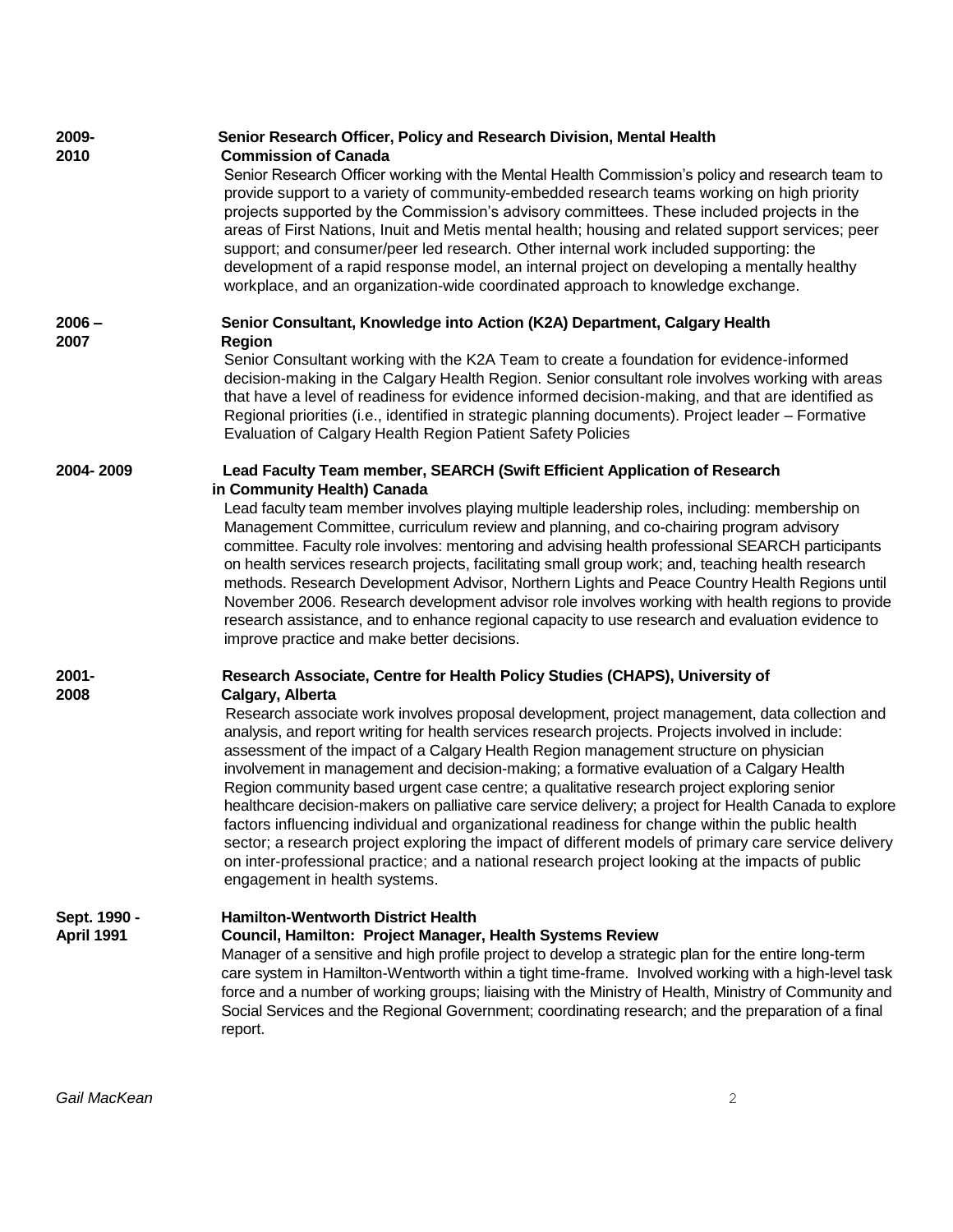| 2009-<br>2010              | Senior Research Officer, Policy and Research Division, Mental Health<br><b>Commission of Canada</b>                                                                                                                                                                                                                                                                                                                                                                                                                                                                                                                                                                                                                                                                                                                                                                                                                                                                   |
|----------------------------|-----------------------------------------------------------------------------------------------------------------------------------------------------------------------------------------------------------------------------------------------------------------------------------------------------------------------------------------------------------------------------------------------------------------------------------------------------------------------------------------------------------------------------------------------------------------------------------------------------------------------------------------------------------------------------------------------------------------------------------------------------------------------------------------------------------------------------------------------------------------------------------------------------------------------------------------------------------------------|
|                            | Senior Research Officer working with the Mental Health Commission's policy and research team to<br>provide support to a variety of community-embedded research teams working on high priority<br>projects supported by the Commission's advisory committees. These included projects in the<br>areas of First Nations, Inuit and Metis mental health; housing and related support services; peer<br>support; and consumer/peer led research. Other internal work included supporting: the<br>development of a rapid response model, an internal project on developing a mentally healthy<br>workplace, and an organization-wide coordinated approach to knowledge exchange.                                                                                                                                                                                                                                                                                           |
| $2006 -$<br>2007           | Senior Consultant, Knowledge into Action (K2A) Department, Calgary Health<br><b>Region</b>                                                                                                                                                                                                                                                                                                                                                                                                                                                                                                                                                                                                                                                                                                                                                                                                                                                                            |
|                            | Senior Consultant working with the K2A Team to create a foundation for evidence-informed<br>decision-making in the Calgary Health Region. Senior consultant role involves working with areas<br>that have a level of readiness for evidence informed decision-making, and that are identified as<br>Regional priorities (i.e., identified in strategic planning documents). Project leader - Formative<br>Evaluation of Calgary Health Region Patient Safety Policies                                                                                                                                                                                                                                                                                                                                                                                                                                                                                                 |
| 2004-2009                  | Lead Faculty Team member, SEARCH (Swift Efficient Application of Research                                                                                                                                                                                                                                                                                                                                                                                                                                                                                                                                                                                                                                                                                                                                                                                                                                                                                             |
|                            | in Community Health) Canada<br>Lead faculty team member involves playing multiple leadership roles, including: membership on<br>Management Committee, curriculum review and planning, and co-chairing program advisory<br>committee. Faculty role involves: mentoring and advising health professional SEARCH participants<br>on health services research projects, facilitating small group work; and, teaching health research<br>methods. Research Development Advisor, Northern Lights and Peace Country Health Regions until<br>November 2006. Research development advisor role involves working with health regions to provide<br>research assistance, and to enhance regional capacity to use research and evaluation evidence to<br>improve practice and make better decisions.                                                                                                                                                                              |
| 2001-                      | Research Associate, Centre for Health Policy Studies (CHAPS), University of                                                                                                                                                                                                                                                                                                                                                                                                                                                                                                                                                                                                                                                                                                                                                                                                                                                                                           |
| 2008                       | Calgary, Alberta<br>Research associate work involves proposal development, project management, data collection and<br>analysis, and report writing for health services research projects. Projects involved in include:<br>assessment of the impact of a Calgary Health Region management structure on physician<br>involvement in management and decision-making; a formative evaluation of a Calgary Health<br>Region community based urgent case centre; a qualitative research project exploring senior<br>healthcare decision-makers on palliative care service delivery; a project for Health Canada to explore<br>factors influencing individual and organizational readiness for change within the public health<br>sector; a research project exploring the impact of different models of primary care service delivery<br>on inter-professional practice; and a national research project looking at the impacts of public<br>engagement in health systems. |
| Sept. 1990 -<br>April 1991 | <b>Hamilton-Wentworth District Health</b><br>Council, Hamilton: Project Manager, Health Systems Review<br>Manager of a sensitive and high profile project to develop a strategic plan for the entire long-term<br>care system in Hamilton-Wentworth within a tight time-frame. Involved working with a high-level task<br>force and a number of working groups; liaising with the Ministry of Health, Ministry of Community and<br>Social Services and the Regional Government; coordinating research; and the preparation of a final<br>report.                                                                                                                                                                                                                                                                                                                                                                                                                      |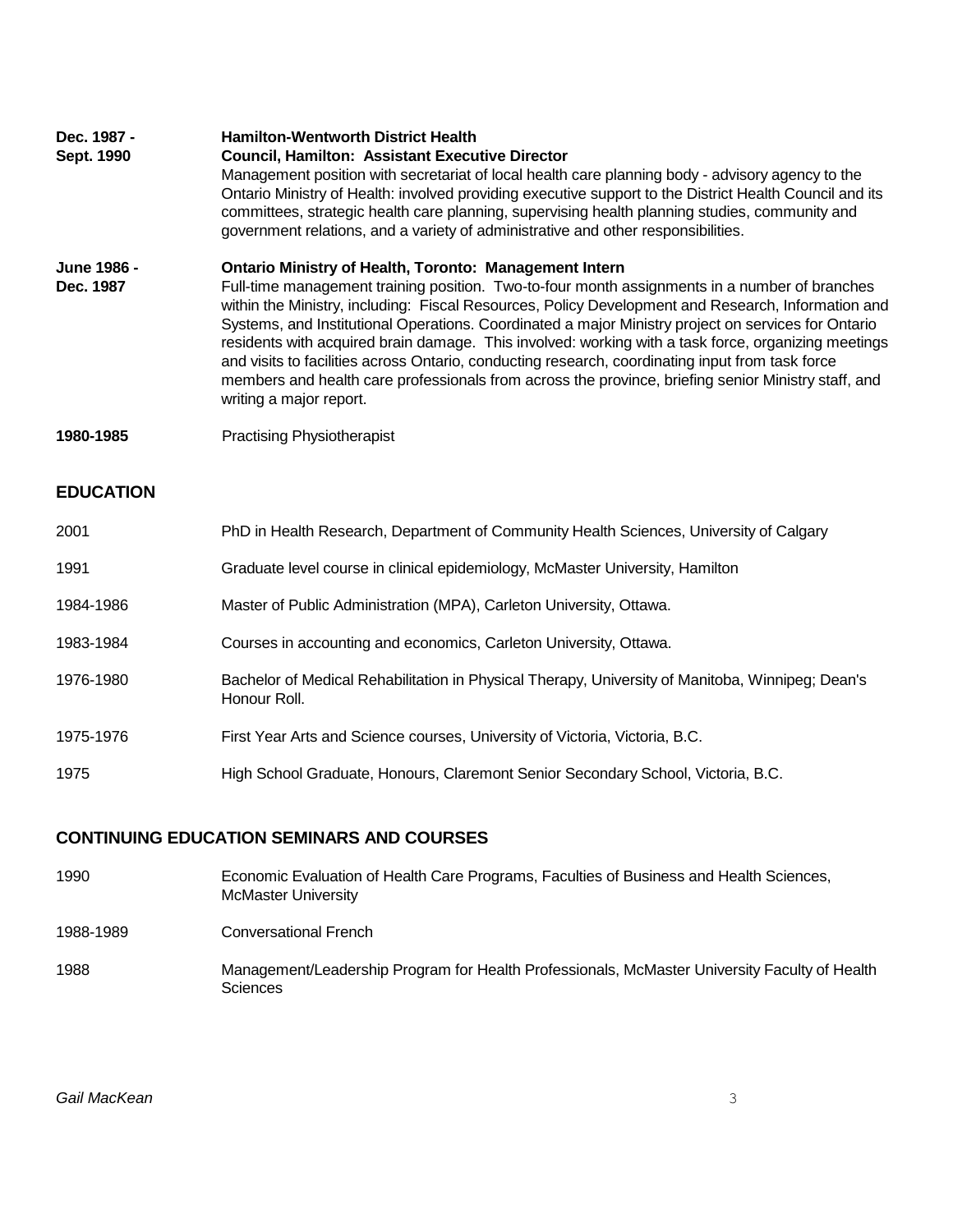| Dec. 1987 -<br>Sept. 1990 | <b>Hamilton-Wentworth District Health</b><br><b>Council, Hamilton: Assistant Executive Director</b><br>Management position with secretariat of local health care planning body - advisory agency to the<br>Ontario Ministry of Health: involved providing executive support to the District Health Council and its<br>committees, strategic health care planning, supervising health planning studies, community and<br>government relations, and a variety of administrative and other responsibilities.                                                                                                                                                                                                                |
|---------------------------|--------------------------------------------------------------------------------------------------------------------------------------------------------------------------------------------------------------------------------------------------------------------------------------------------------------------------------------------------------------------------------------------------------------------------------------------------------------------------------------------------------------------------------------------------------------------------------------------------------------------------------------------------------------------------------------------------------------------------|
| June 1986 -<br>Dec. 1987  | <b>Ontario Ministry of Health, Toronto: Management Intern</b><br>Full-time management training position. Two-to-four month assignments in a number of branches<br>within the Ministry, including: Fiscal Resources, Policy Development and Research, Information and<br>Systems, and Institutional Operations. Coordinated a major Ministry project on services for Ontario<br>residents with acquired brain damage. This involved: working with a task force, organizing meetings<br>and visits to facilities across Ontario, conducting research, coordinating input from task force<br>members and health care professionals from across the province, briefing senior Ministry staff, and<br>writing a major report. |
| 1980-1985                 | <b>Practising Physiotherapist</b>                                                                                                                                                                                                                                                                                                                                                                                                                                                                                                                                                                                                                                                                                        |
| <b>EDUCATION</b>          |                                                                                                                                                                                                                                                                                                                                                                                                                                                                                                                                                                                                                                                                                                                          |
| 2001                      | PhD in Health Research, Department of Community Health Sciences, University of Calgary                                                                                                                                                                                                                                                                                                                                                                                                                                                                                                                                                                                                                                   |
| 1991                      | Graduate level course in clinical epidemiology, McMaster University, Hamilton                                                                                                                                                                                                                                                                                                                                                                                                                                                                                                                                                                                                                                            |
| 1984-1986                 | Master of Public Administration (MPA), Carleton University, Ottawa.                                                                                                                                                                                                                                                                                                                                                                                                                                                                                                                                                                                                                                                      |
| 1983-1984                 | Courses in accounting and economics, Carleton University, Ottawa.                                                                                                                                                                                                                                                                                                                                                                                                                                                                                                                                                                                                                                                        |
| 1976-1980                 | Bachelor of Medical Rehabilitation in Physical Therapy, University of Manitoba, Winnipeg; Dean's<br>Honour Roll.                                                                                                                                                                                                                                                                                                                                                                                                                                                                                                                                                                                                         |
| 1975-1976                 | First Year Arts and Science courses, University of Victoria, Victoria, B.C.                                                                                                                                                                                                                                                                                                                                                                                                                                                                                                                                                                                                                                              |
| 1975                      | High School Graduate, Honours, Claremont Senior Secondary School, Victoria, B.C.                                                                                                                                                                                                                                                                                                                                                                                                                                                                                                                                                                                                                                         |

# **CONTINUING EDUCATION SEMINARS AND COURSES**

| 1990      | Economic Evaluation of Health Care Programs, Faculties of Business and Health Sciences,<br><b>McMaster University</b> |
|-----------|-----------------------------------------------------------------------------------------------------------------------|
| 1988-1989 | Conversational French                                                                                                 |
| 1988      | Management/Leadership Program for Health Professionals, McMaster University Faculty of Health<br><b>Sciences</b>      |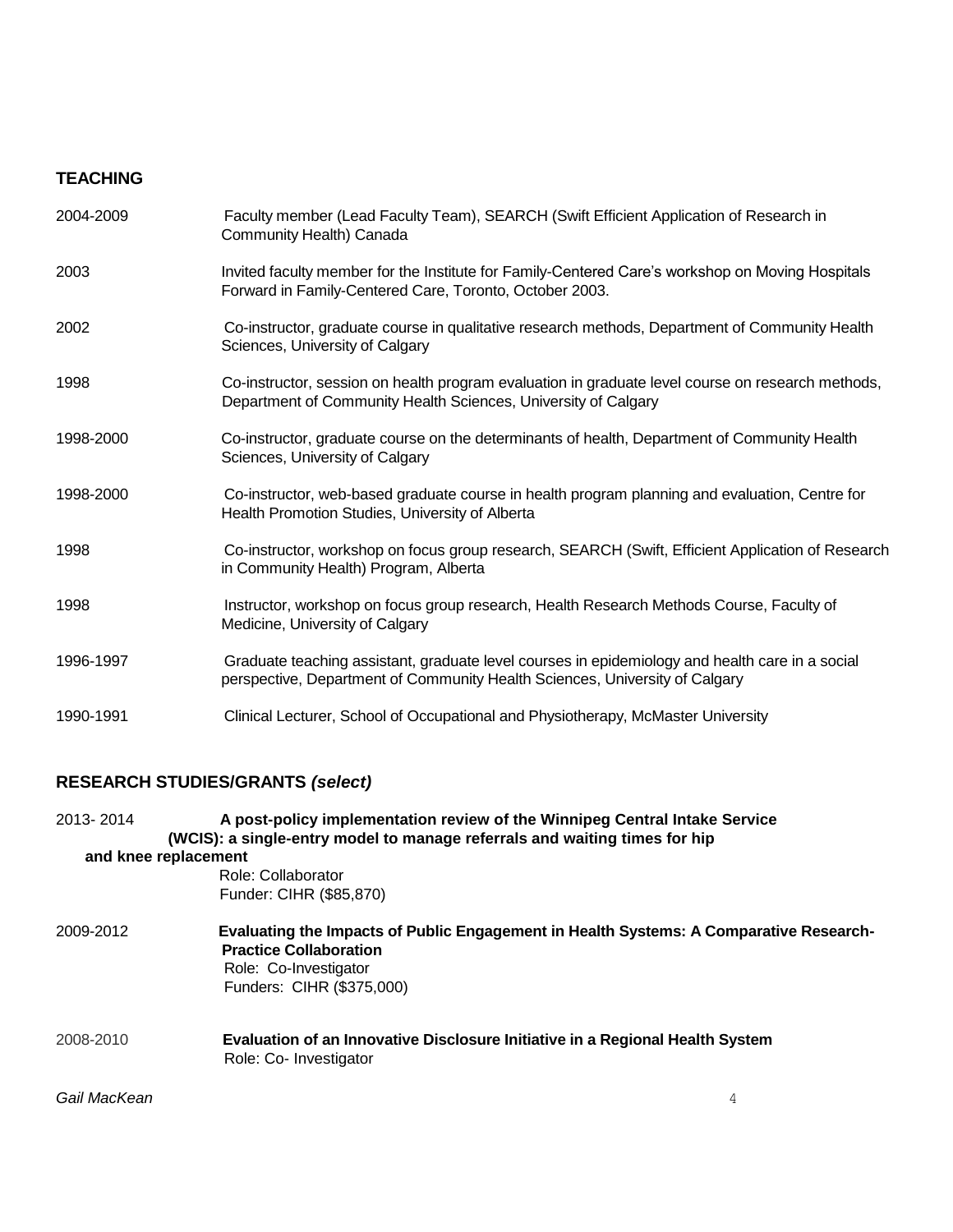### **TEACHING**

| 2004-2009 | Faculty member (Lead Faculty Team), SEARCH (Swift Efficient Application of Research in<br>Community Health) Canada                                                             |
|-----------|--------------------------------------------------------------------------------------------------------------------------------------------------------------------------------|
| 2003      | Invited faculty member for the Institute for Family-Centered Care's workshop on Moving Hospitals<br>Forward in Family-Centered Care, Toronto, October 2003.                    |
| 2002      | Co-instructor, graduate course in qualitative research methods, Department of Community Health<br>Sciences, University of Calgary                                              |
| 1998      | Co-instructor, session on health program evaluation in graduate level course on research methods,<br>Department of Community Health Sciences, University of Calgary            |
| 1998-2000 | Co-instructor, graduate course on the determinants of health, Department of Community Health<br>Sciences, University of Calgary                                                |
| 1998-2000 | Co-instructor, web-based graduate course in health program planning and evaluation, Centre for<br>Health Promotion Studies, University of Alberta                              |
| 1998      | Co-instructor, workshop on focus group research, SEARCH (Swift, Efficient Application of Research<br>in Community Health) Program, Alberta                                     |
| 1998      | Instructor, workshop on focus group research, Health Research Methods Course, Faculty of<br>Medicine, University of Calgary                                                    |
| 1996-1997 | Graduate teaching assistant, graduate level courses in epidemiology and health care in a social<br>perspective, Department of Community Health Sciences, University of Calgary |
| 1990-1991 | Clinical Lecturer, School of Occupational and Physiotherapy, McMaster University                                                                                               |

# **RESEARCH STUDIES/GRANTS** *(select)*

| 2013-2014            | A post-policy implementation review of the Winnipeg Central Intake Service<br>(WCIS): a single-entry model to manage referrals and waiting times for hip |                                                                                        |
|----------------------|----------------------------------------------------------------------------------------------------------------------------------------------------------|----------------------------------------------------------------------------------------|
| and knee replacement |                                                                                                                                                          |                                                                                        |
|                      | Role: Collaborator                                                                                                                                       |                                                                                        |
|                      | Funder: CIHR (\$85,870)                                                                                                                                  |                                                                                        |
| 2009-2012            | <b>Practice Collaboration</b><br>Role: Co-Investigator<br>Funders: CIHR (\$375,000)                                                                      | Evaluating the Impacts of Public Engagement in Health Systems: A Comparative Research- |
| 2008-2010            | Evaluation of an Innovative Disclosure Initiative in a Regional Health System<br>Role: Co- Investigator                                                  |                                                                                        |
| Gail MacKean         |                                                                                                                                                          | 4                                                                                      |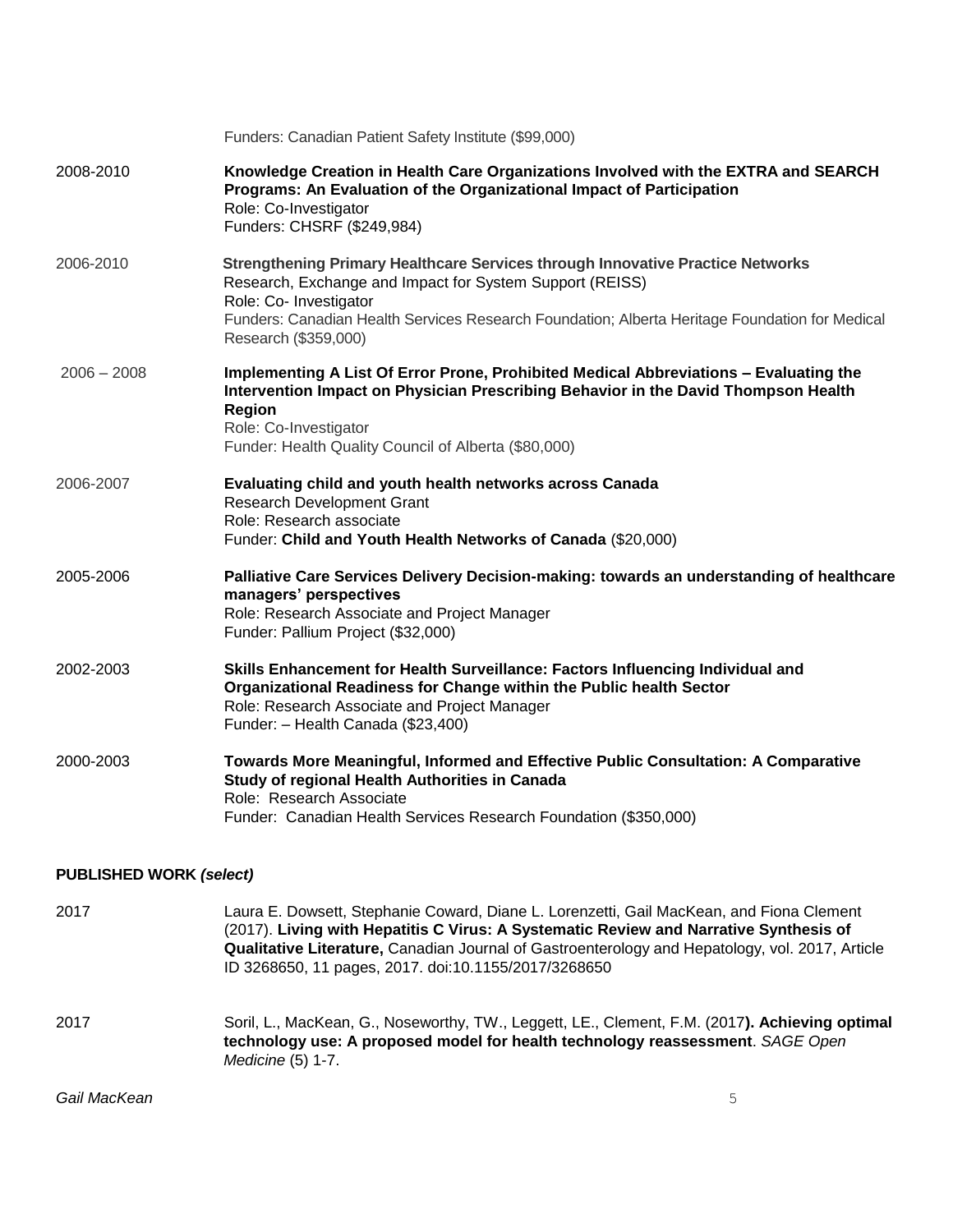|                                | Funders: Canadian Patient Safety Institute (\$99,000)                                                                                                                                                                                                                                                                                        |
|--------------------------------|----------------------------------------------------------------------------------------------------------------------------------------------------------------------------------------------------------------------------------------------------------------------------------------------------------------------------------------------|
| 2008-2010                      | Knowledge Creation in Health Care Organizations Involved with the EXTRA and SEARCH<br>Programs: An Evaluation of the Organizational Impact of Participation<br>Role: Co-Investigator<br>Funders: CHSRF (\$249,984)                                                                                                                           |
| 2006-2010                      | Strengthening Primary Healthcare Services through Innovative Practice Networks<br>Research, Exchange and Impact for System Support (REISS)<br>Role: Co- Investigator<br>Funders: Canadian Health Services Research Foundation; Alberta Heritage Foundation for Medical                                                                       |
| $2006 - 2008$                  | Research (\$359,000)<br>Implementing A List Of Error Prone, Prohibited Medical Abbreviations - Evaluating the<br>Intervention Impact on Physician Prescribing Behavior in the David Thompson Health<br>Region<br>Role: Co-Investigator<br>Funder: Health Quality Council of Alberta (\$80,000)                                               |
| 2006-2007                      | Evaluating child and youth health networks across Canada<br>Research Development Grant<br>Role: Research associate<br>Funder: Child and Youth Health Networks of Canada (\$20,000)                                                                                                                                                           |
| 2005-2006                      | Palliative Care Services Delivery Decision-making: towards an understanding of healthcare<br>managers' perspectives<br>Role: Research Associate and Project Manager<br>Funder: Pallium Project (\$32,000)                                                                                                                                    |
| 2002-2003                      | Skills Enhancement for Health Surveillance: Factors Influencing Individual and<br>Organizational Readiness for Change within the Public health Sector<br>Role: Research Associate and Project Manager<br>Funder: - Health Canada (\$23,400)                                                                                                  |
| 2000-2003                      | Towards More Meaningful, Informed and Effective Public Consultation: A Comparative<br>Study of regional Health Authorities in Canada<br>Role: Research Associate<br>Funder: Canadian Health Services Research Foundation (\$350,000)                                                                                                         |
| <b>PUBLISHED WORK (select)</b> |                                                                                                                                                                                                                                                                                                                                              |
| 2017                           | Laura E. Dowsett, Stephanie Coward, Diane L. Lorenzetti, Gail MacKean, and Fiona Clement<br>(2017). Living with Hepatitis C Virus: A Systematic Review and Narrative Synthesis of<br>Qualitative Literature, Canadian Journal of Gastroenterology and Hepatology, vol. 2017, Article<br>ID 3268650, 11 pages, 2017. doi:10.1155/2017/3268650 |
| 2017                           | Soril, L., MacKean, G., Noseworthy, TW., Leggett, LE., Clement, F.M. (2017). Achieving optimal<br>technology use: A proposed model for health technology reassessment. SAGE Open<br>Medicine (5) 1-7.                                                                                                                                        |

*Gail MacKean* 5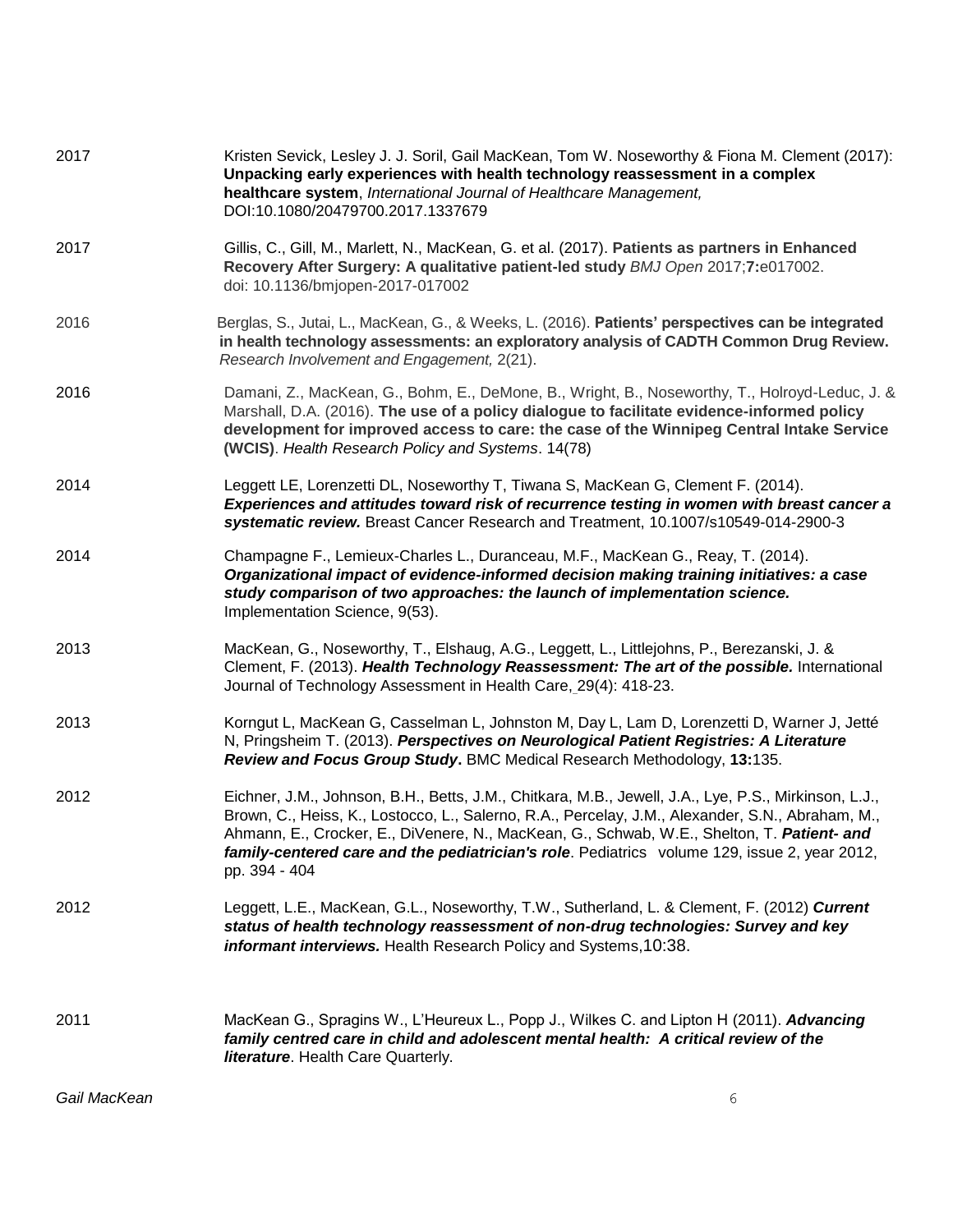| 2017         | Kristen Sevick, Lesley J. J. Soril, Gail MacKean, Tom W. Noseworthy & Fiona M. Clement (2017):<br>Unpacking early experiences with health technology reassessment in a complex<br>healthcare system, International Journal of Healthcare Management,<br>DOI:10.1080/20479700.2017.1337679                                                                                                                               |
|--------------|-------------------------------------------------------------------------------------------------------------------------------------------------------------------------------------------------------------------------------------------------------------------------------------------------------------------------------------------------------------------------------------------------------------------------|
| 2017         | Gillis, C., Gill, M., Marlett, N., MacKean, G. et al. (2017). Patients as partners in Enhanced<br>Recovery After Surgery: A qualitative patient-led study BMJ Open 2017;7:e017002.<br>doi: 10.1136/bmjopen-2017-017002                                                                                                                                                                                                  |
| 2016         | Berglas, S., Jutai, L., MacKean, G., & Weeks, L. (2016). Patients' perspectives can be integrated<br>in health technology assessments: an exploratory analysis of CADTH Common Drug Review.<br>Research Involvement and Engagement, 2(21).                                                                                                                                                                              |
| 2016         | Damani, Z., MacKean, G., Bohm, E., DeMone, B., Wright, B., Noseworthy, T., Holroyd-Leduc, J. &<br>Marshall, D.A. (2016). The use of a policy dialogue to facilitate evidence-informed policy<br>development for improved access to care: the case of the Winnipeg Central Intake Service<br>(WCIS). Health Research Policy and Systems. 14(78)                                                                          |
| 2014         | Leggett LE, Lorenzetti DL, Noseworthy T, Tiwana S, MacKean G, Clement F. (2014).<br>Experiences and attitudes toward risk of recurrence testing in women with breast cancer a<br>systematic review. Breast Cancer Research and Treatment, 10.1007/s10549-014-2900-3                                                                                                                                                     |
| 2014         | Champagne F., Lemieux-Charles L., Duranceau, M.F., MacKean G., Reay, T. (2014).<br>Organizational impact of evidence-informed decision making training initiatives: a case<br>study comparison of two approaches: the launch of implementation science.<br>Implementation Science, 9(53).                                                                                                                               |
| 2013         | MacKean, G., Noseworthy, T., Elshaug, A.G., Leggett, L., Littlejohns, P., Berezanski, J. &<br>Clement, F. (2013). Health Technology Reassessment: The art of the possible. International<br>Journal of Technology Assessment in Health Care, 29(4): 418-23.                                                                                                                                                             |
| 2013         | Korngut L, MacKean G, Casselman L, Johnston M, Day L, Lam D, Lorenzetti D, Warner J, Jetté<br>N, Pringsheim T. (2013). Perspectives on Neurological Patient Registries: A Literature<br>Review and Focus Group Study. BMC Medical Research Methodology, 13:135.                                                                                                                                                         |
| 2012         | Eichner, J.M., Johnson, B.H., Betts, J.M., Chitkara, M.B., Jewell, J.A., Lye, P.S., Mirkinson, L.J.,<br>Brown, C., Heiss, K., Lostocco, L., Salerno, R.A., Percelay, J.M., Alexander, S.N., Abraham, M.,<br>Ahmann, E., Crocker, E., DiVenere, N., MacKean, G., Schwab, W.E., Shelton, T. Patient- and<br>family-centered care and the pediatrician's role. Pediatrics volume 129, issue 2, year 2012,<br>pp. 394 - 404 |
| 2012         | Leggett, L.E., MacKean, G.L., Noseworthy, T.W., Sutherland, L. & Clement, F. (2012) Current<br>status of health technology reassessment of non-drug technologies: Survey and key<br>informant interviews. Health Research Policy and Systems, 10:38.                                                                                                                                                                    |
| 2011         | MacKean G., Spragins W., L'Heureux L., Popp J., Wilkes C. and Lipton H (2011). Advancing<br>family centred care in child and adolescent mental health: A critical review of the<br><b>literature.</b> Health Care Quarterly.                                                                                                                                                                                            |
| Gail MacKean | 6                                                                                                                                                                                                                                                                                                                                                                                                                       |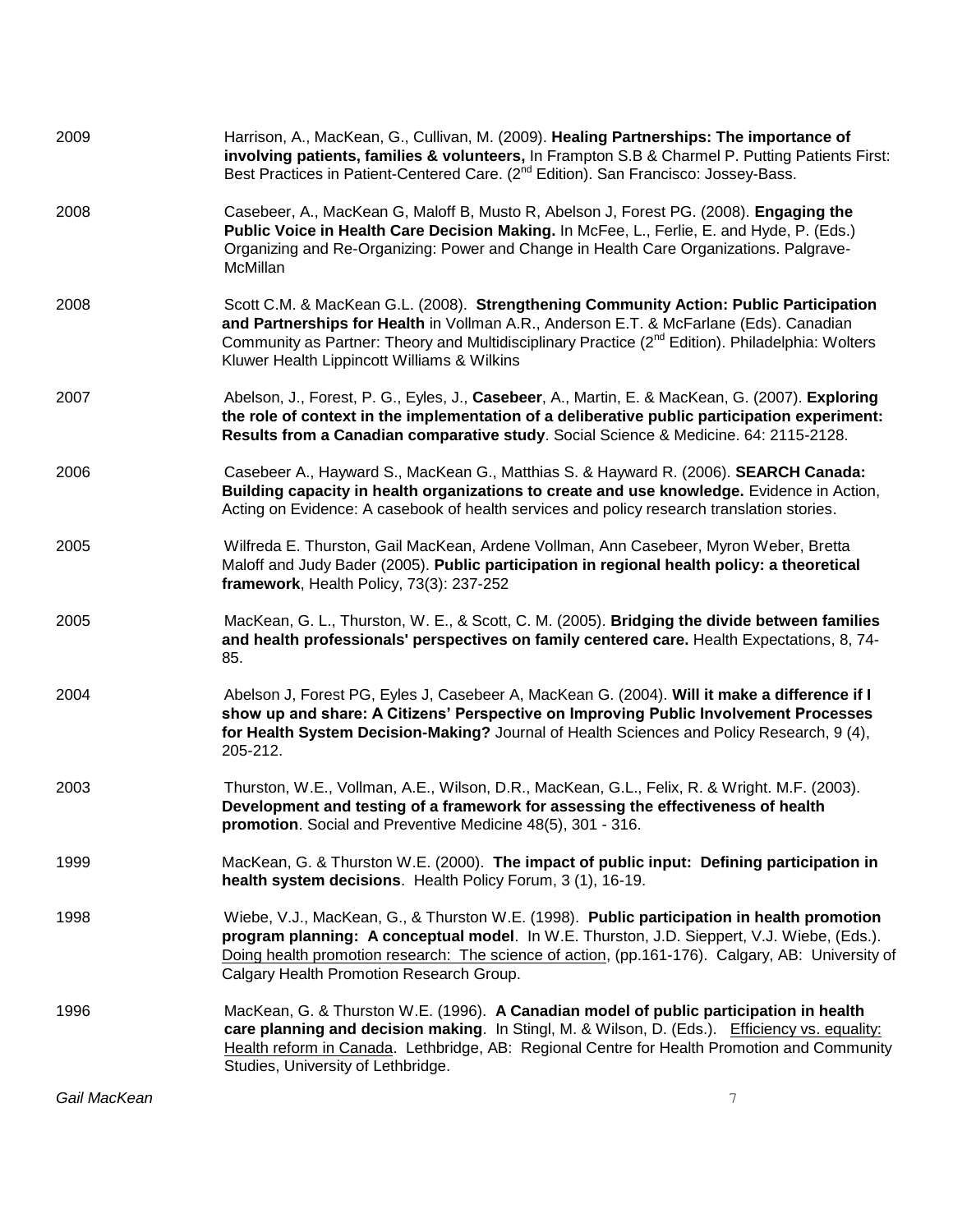| 2009         | Harrison, A., MacKean, G., Cullivan, M. (2009). Healing Partnerships: The importance of<br>involving patients, families & volunteers, In Frampton S.B & Charmel P. Putting Patients First:<br>Best Practices in Patient-Centered Care. (2 <sup>nd</sup> Edition). San Francisco: Jossey-Bass.                                                   |
|--------------|-------------------------------------------------------------------------------------------------------------------------------------------------------------------------------------------------------------------------------------------------------------------------------------------------------------------------------------------------|
| 2008         | Casebeer, A., MacKean G, Maloff B, Musto R, Abelson J, Forest PG. (2008). Engaging the<br>Public Voice in Health Care Decision Making. In McFee, L., Ferlie, E. and Hyde, P. (Eds.)<br>Organizing and Re-Organizing: Power and Change in Health Care Organizations. Palgrave-<br>McMillan                                                       |
| 2008         | Scott C.M. & MacKean G.L. (2008). Strengthening Community Action: Public Participation<br>and Partnerships for Health in Vollman A.R., Anderson E.T. & McFarlane (Eds). Canadian<br>Community as Partner: Theory and Multidisciplinary Practice (2 <sup>nd</sup> Edition). Philadelphia: Wolters<br>Kluwer Health Lippincott Williams & Wilkins |
| 2007         | Abelson, J., Forest, P. G., Eyles, J., Casebeer, A., Martin, E. & MacKean, G. (2007). Exploring<br>the role of context in the implementation of a deliberative public participation experiment:<br>Results from a Canadian comparative study. Social Science & Medicine. 64: 2115-2128.                                                         |
| 2006         | Casebeer A., Hayward S., MacKean G., Matthias S. & Hayward R. (2006). SEARCH Canada:<br>Building capacity in health organizations to create and use knowledge. Evidence in Action,<br>Acting on Evidence: A casebook of health services and policy research translation stories.                                                                |
| 2005         | Wilfreda E. Thurston, Gail MacKean, Ardene Vollman, Ann Casebeer, Myron Weber, Bretta<br>Maloff and Judy Bader (2005). Public participation in regional health policy: a theoretical<br>framework, Health Policy, 73(3): 237-252                                                                                                                |
| 2005         | MacKean, G. L., Thurston, W. E., & Scott, C. M. (2005). Bridging the divide between families<br>and health professionals' perspectives on family centered care. Health Expectations, 8, 74-<br>85.                                                                                                                                              |
| 2004         | Abelson J, Forest PG, Eyles J, Casebeer A, MacKean G. (2004). Will it make a difference if I<br>show up and share: A Citizens' Perspective on Improving Public Involvement Processes<br>for Health System Decision-Making? Journal of Health Sciences and Policy Research, 9 (4),<br>205-212.                                                   |
| 2003         | Thurston, W.E., Vollman, A.E., Wilson, D.R., MacKean, G.L., Felix, R. & Wright. M.F. (2003).<br>Development and testing of a framework for assessing the effectiveness of health<br>promotion. Social and Preventive Medicine 48(5), 301 - 316.                                                                                                 |
| 1999         | MacKean, G. & Thurston W.E. (2000). The impact of public input: Defining participation in<br>health system decisions. Health Policy Forum, 3 (1), 16-19.                                                                                                                                                                                        |
| 1998         | Wiebe, V.J., MacKean, G., & Thurston W.E. (1998). Public participation in health promotion<br>program planning: A conceptual model. In W.E. Thurston, J.D. Sieppert, V.J. Wiebe, (Eds.).<br>Doing health promotion research: The science of action, (pp.161-176). Calgary, AB: University of<br>Calgary Health Promotion Research Group.        |
| 1996         | MacKean, G. & Thurston W.E. (1996). A Canadian model of public participation in health<br>care planning and decision making. In Stingl, M. & Wilson, D. (Eds.). Efficiency vs. equality:<br>Health reform in Canada. Lethbridge, AB: Regional Centre for Health Promotion and Community<br>Studies, University of Lethbridge.                   |
| Gail MacKean | 7                                                                                                                                                                                                                                                                                                                                               |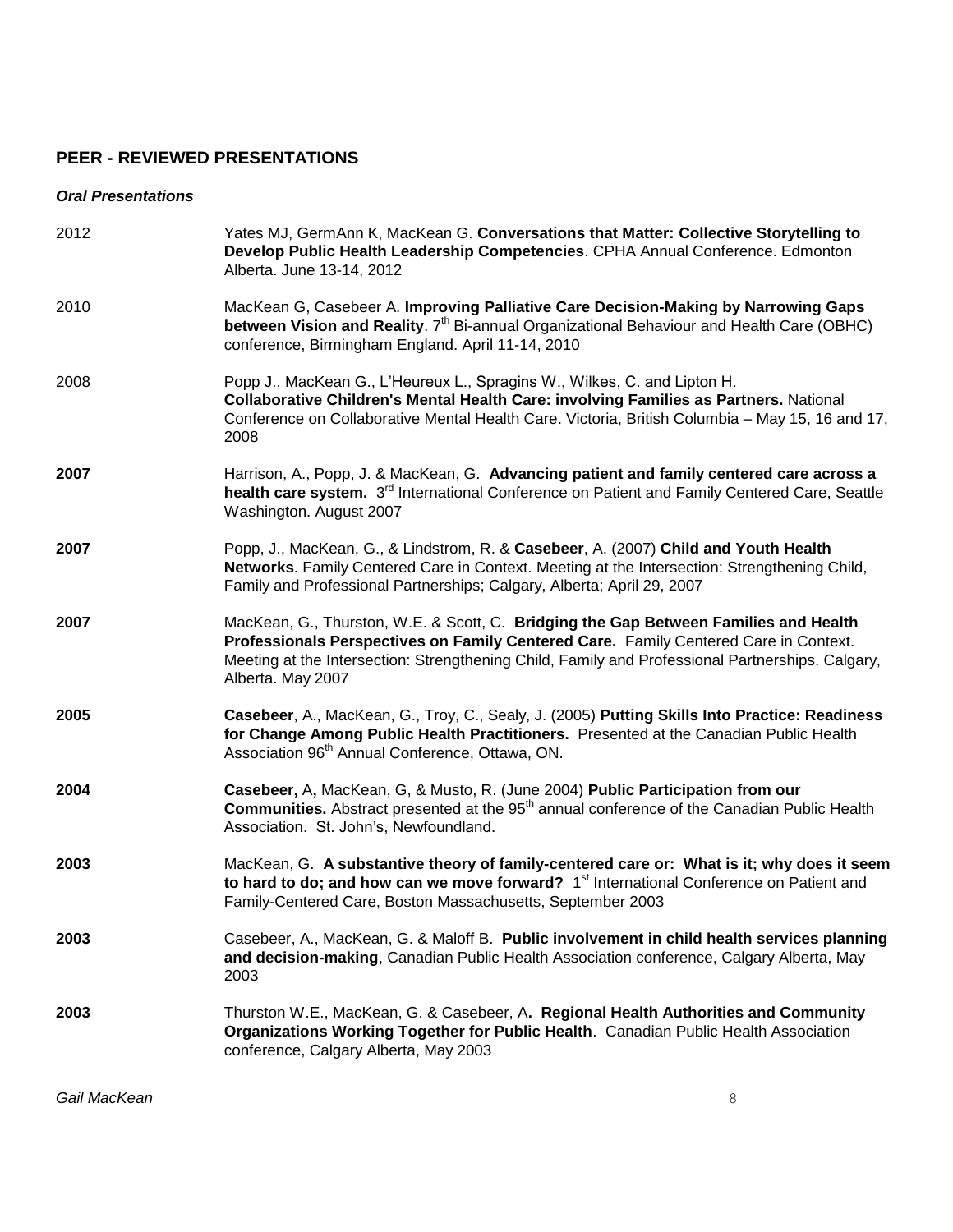### **PEER - REVIEWED PRESENTATIONS**

#### *Oral Presentations*

| 2012 | Yates MJ, GermAnn K, MacKean G. Conversations that Matter: Collective Storytelling to<br>Develop Public Health Leadership Competencies. CPHA Annual Conference. Edmonton<br>Alberta. June 13-14, 2012                                                                                                 |
|------|-------------------------------------------------------------------------------------------------------------------------------------------------------------------------------------------------------------------------------------------------------------------------------------------------------|
| 2010 | MacKean G, Casebeer A. Improving Palliative Care Decision-Making by Narrowing Gaps<br>between Vision and Reality. 7 <sup>th</sup> Bi-annual Organizational Behaviour and Health Care (OBHC)<br>conference, Birmingham England. April 11-14, 2010                                                      |
| 2008 | Popp J., MacKean G., L'Heureux L., Spragins W., Wilkes, C. and Lipton H.<br><b>Collaborative Children's Mental Health Care: involving Families as Partners. National</b><br>Conference on Collaborative Mental Health Care. Victoria, British Columbia - May 15, 16 and 17,<br>2008                   |
| 2007 | Harrison, A., Popp, J. & MacKean, G. Advancing patient and family centered care across a<br>health care system. 3 <sup>rd</sup> International Conference on Patient and Family Centered Care, Seattle<br>Washington. August 2007                                                                      |
| 2007 | Popp, J., MacKean, G., & Lindstrom, R. & Casebeer, A. (2007) Child and Youth Health<br>Networks. Family Centered Care in Context. Meeting at the Intersection: Strengthening Child,<br>Family and Professional Partnerships; Calgary, Alberta; April 29, 2007                                         |
| 2007 | MacKean, G., Thurston, W.E. & Scott, C. Bridging the Gap Between Families and Health<br>Professionals Perspectives on Family Centered Care. Family Centered Care in Context.<br>Meeting at the Intersection: Strengthening Child, Family and Professional Partnerships. Calgary,<br>Alberta. May 2007 |
| 2005 | Casebeer, A., MacKean, G., Troy, C., Sealy, J. (2005) Putting Skills Into Practice: Readiness<br>for Change Among Public Health Practitioners. Presented at the Canadian Public Health<br>Association 96 <sup>th</sup> Annual Conference, Ottawa, ON.                                                 |
| 2004 | Casebeer, A, MacKean, G, & Musto, R. (June 2004) Public Participation from our<br>Communities. Abstract presented at the 95 <sup>th</sup> annual conference of the Canadian Public Health<br>Association. St. John's, Newfoundland.                                                                   |
| 2003 | MacKean, G. A substantive theory of family-centered care or: What is it; why does it seem<br>to hard to do; and how can we move forward? 1 <sup>st</sup> International Conference on Patient and<br>Family-Centered Care, Boston Massachusetts, September 2003                                        |
| 2003 | Casebeer, A., MacKean, G. & Maloff B. Public involvement in child health services planning<br>and decision-making, Canadian Public Health Association conference, Calgary Alberta, May<br>2003                                                                                                        |
| 2003 | Thurston W.E., MacKean, G. & Casebeer, A. Regional Health Authorities and Community<br>Organizations Working Together for Public Health. Canadian Public Health Association<br>conference, Calgary Alberta, May 2003                                                                                  |

**Gail MacKean** 8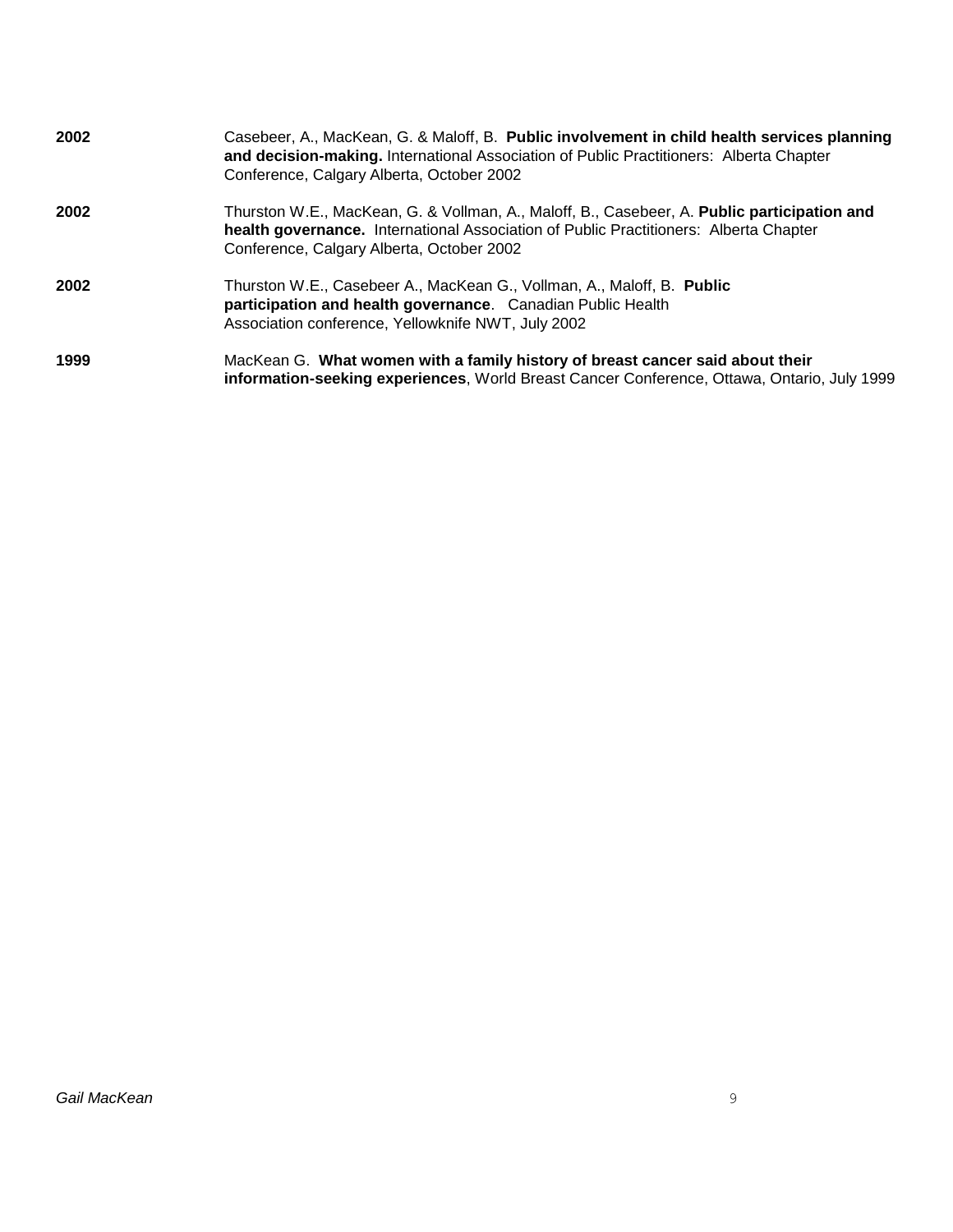| 2002 | Casebeer, A., MacKean, G. & Maloff, B. Public involvement in child health services planning<br>and decision-making. International Association of Public Practitioners: Alberta Chapter<br>Conference, Calgary Alberta, October 2002 |
|------|-------------------------------------------------------------------------------------------------------------------------------------------------------------------------------------------------------------------------------------|
| 2002 | Thurston W.E., MacKean, G. & Vollman, A., Maloff, B., Casebeer, A. Public participation and<br>health governance. International Association of Public Practitioners: Alberta Chapter<br>Conference, Calgary Alberta, October 2002   |
| 2002 | Thurston W.E., Casebeer A., MacKean G., Vollman, A., Maloff, B. Public<br>participation and health governance. Canadian Public Health<br>Association conference, Yellowknife NWT, July 2002                                         |
| 1999 | MacKean G. What women with a family history of breast cancer said about their<br>information-seeking experiences, World Breast Cancer Conference, Ottawa, Ontario, July 1999                                                        |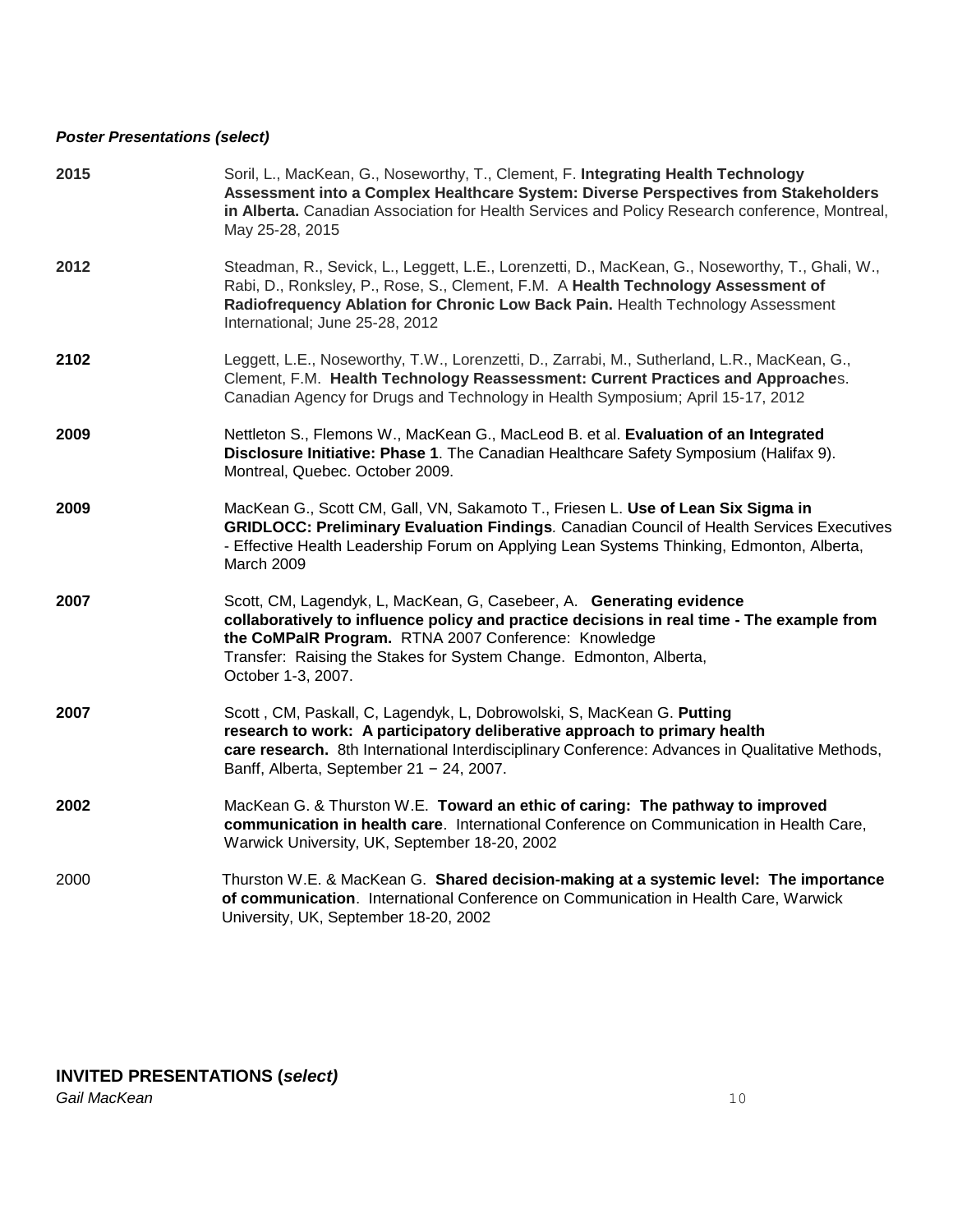#### *Poster Presentations (select)*

| 2015 | Soril, L., MacKean, G., Noseworthy, T., Clement, F. Integrating Health Technology<br>Assessment into a Complex Healthcare System: Diverse Perspectives from Stakeholders<br>in Alberta. Canadian Association for Health Services and Policy Research conference, Montreal,<br>May 25-28, 2015                          |
|------|------------------------------------------------------------------------------------------------------------------------------------------------------------------------------------------------------------------------------------------------------------------------------------------------------------------------|
| 2012 | Steadman, R., Sevick, L., Leggett, L.E., Lorenzetti, D., MacKean, G., Noseworthy, T., Ghali, W.,<br>Rabi, D., Ronksley, P., Rose, S., Clement, F.M. A Health Technology Assessment of<br>Radiofrequency Ablation for Chronic Low Back Pain. Health Technology Assessment<br>International; June 25-28, 2012            |
| 2102 | Leggett, L.E., Noseworthy, T.W., Lorenzetti, D., Zarrabi, M., Sutherland, L.R., MacKean, G.,<br>Clement, F.M. Health Technology Reassessment: Current Practices and Approaches.<br>Canadian Agency for Drugs and Technology in Health Symposium; April 15-17, 2012                                                     |
| 2009 | Nettleton S., Flemons W., MacKean G., MacLeod B. et al. Evaluation of an Integrated<br>Disclosure Initiative: Phase 1. The Canadian Healthcare Safety Symposium (Halifax 9).<br>Montreal, Quebec. October 2009.                                                                                                        |
| 2009 | MacKean G., Scott CM, Gall, VN, Sakamoto T., Friesen L. Use of Lean Six Sigma in<br><b>GRIDLOCC: Preliminary Evaluation Findings. Canadian Council of Health Services Executives</b><br>- Effective Health Leadership Forum on Applying Lean Systems Thinking, Edmonton, Alberta,<br>March 2009                        |
| 2007 | Scott, CM, Lagendyk, L, MacKean, G, Casebeer, A. Generating evidence<br>collaboratively to influence policy and practice decisions in real time - The example from<br>the CoMPaIR Program. RTNA 2007 Conference: Knowledge<br>Transfer: Raising the Stakes for System Change. Edmonton, Alberta,<br>October 1-3, 2007. |
| 2007 | Scott, CM, Paskall, C, Lagendyk, L, Dobrowolski, S, MacKean G. Putting<br>research to work: A participatory deliberative approach to primary health<br>care research. 8th International Interdisciplinary Conference: Advances in Qualitative Methods,<br>Banff, Alberta, September $21 - 24$ , 2007.                  |
| 2002 | MacKean G. & Thurston W.E. Toward an ethic of caring: The pathway to improved<br>communication in health care. International Conference on Communication in Health Care,<br>Warwick University, UK, September 18-20, 2002                                                                                              |
| 2000 | Thurston W.E. & MacKean G. Shared decision-making at a systemic level: The importance<br>of communication. International Conference on Communication in Health Care, Warwick<br>University, UK, September 18-20, 2002                                                                                                  |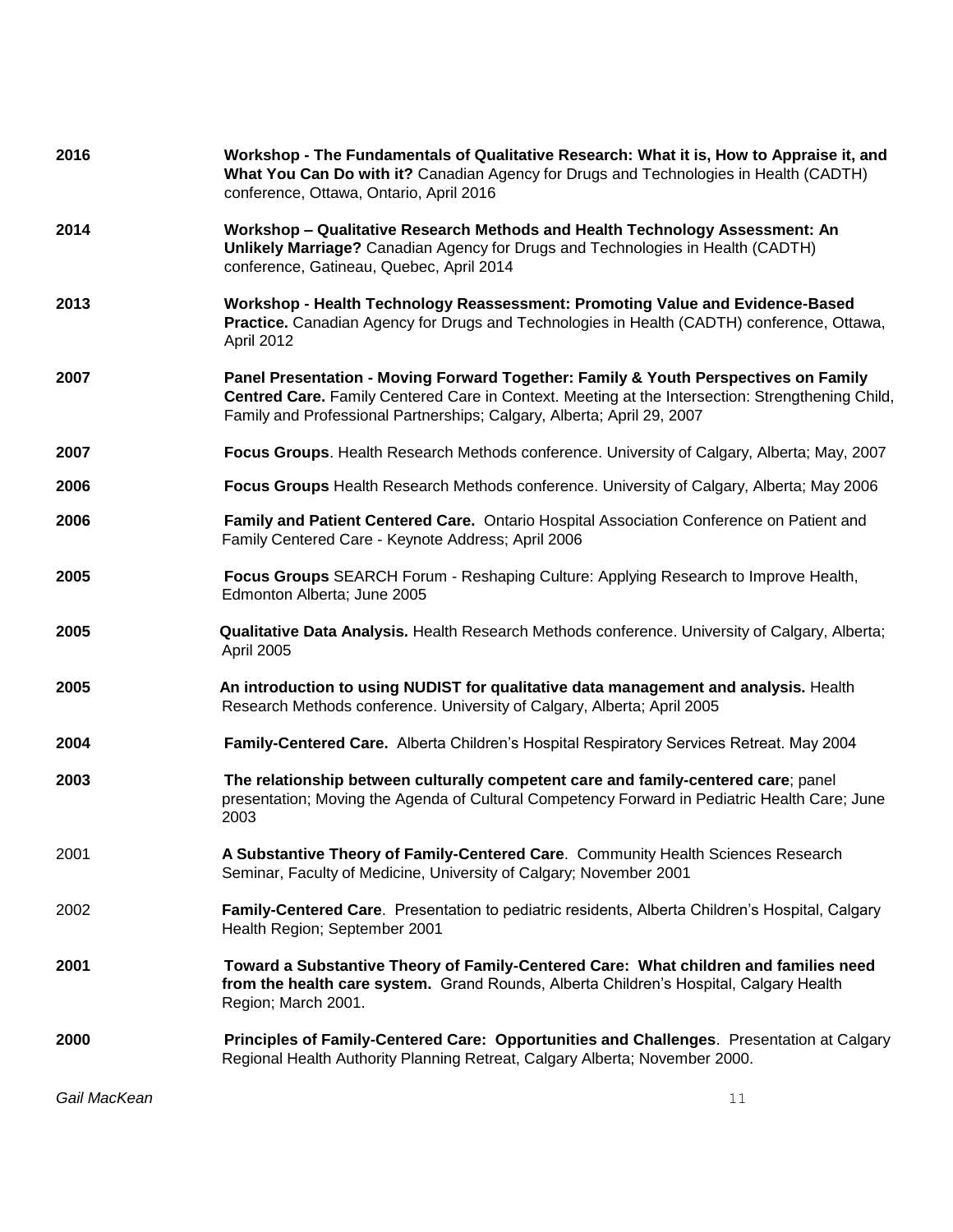| 2016         | Workshop - The Fundamentals of Qualitative Research: What it is, How to Appraise it, and<br>What You Can Do with it? Canadian Agency for Drugs and Technologies in Health (CADTH)<br>conference, Ottawa, Ontario, April 2016                                      |
|--------------|-------------------------------------------------------------------------------------------------------------------------------------------------------------------------------------------------------------------------------------------------------------------|
| 2014         | Workshop - Qualitative Research Methods and Health Technology Assessment: An<br>Unlikely Marriage? Canadian Agency for Drugs and Technologies in Health (CADTH)<br>conference, Gatineau, Quebec, April 2014                                                       |
| 2013         | Workshop - Health Technology Reassessment: Promoting Value and Evidence-Based<br>Practice. Canadian Agency for Drugs and Technologies in Health (CADTH) conference, Ottawa,<br>April 2012                                                                         |
| 2007         | Panel Presentation - Moving Forward Together: Family & Youth Perspectives on Family<br>Centred Care. Family Centered Care in Context. Meeting at the Intersection: Strengthening Child,<br>Family and Professional Partnerships; Calgary, Alberta; April 29, 2007 |
| 2007         | Focus Groups. Health Research Methods conference. University of Calgary, Alberta; May, 2007                                                                                                                                                                       |
| 2006         | Focus Groups Health Research Methods conference. University of Calgary, Alberta; May 2006                                                                                                                                                                         |
| 2006         | Family and Patient Centered Care. Ontario Hospital Association Conference on Patient and<br>Family Centered Care - Keynote Address; April 2006                                                                                                                    |
| 2005         | Focus Groups SEARCH Forum - Reshaping Culture: Applying Research to Improve Health,<br>Edmonton Alberta; June 2005                                                                                                                                                |
| 2005         | Qualitative Data Analysis. Health Research Methods conference. University of Calgary, Alberta;<br>April 2005                                                                                                                                                      |
| 2005         | An introduction to using NUDIST for qualitative data management and analysis. Health<br>Research Methods conference. University of Calgary, Alberta; April 2005                                                                                                   |
| 2004         | Family-Centered Care. Alberta Children's Hospital Respiratory Services Retreat. May 2004                                                                                                                                                                          |
| 2003         | The relationship between culturally competent care and family-centered care; panel<br>presentation; Moving the Agenda of Cultural Competency Forward in Pediatric Health Care; June<br>2003                                                                       |
| 2001         | A Substantive Theory of Family-Centered Care. Community Health Sciences Research<br>Seminar, Faculty of Medicine, University of Calgary; November 2001                                                                                                            |
| 2002         | Family-Centered Care. Presentation to pediatric residents, Alberta Children's Hospital, Calgary<br>Health Region; September 2001                                                                                                                                  |
| 2001         | Toward a Substantive Theory of Family-Centered Care: What children and families need<br>from the health care system. Grand Rounds, Alberta Children's Hospital, Calgary Health<br>Region; March 2001.                                                             |
| 2000         | Principles of Family-Centered Care: Opportunities and Challenges. Presentation at Calgary<br>Regional Health Authority Planning Retreat, Calgary Alberta; November 2000.                                                                                          |
| Gail MacKean | 11                                                                                                                                                                                                                                                                |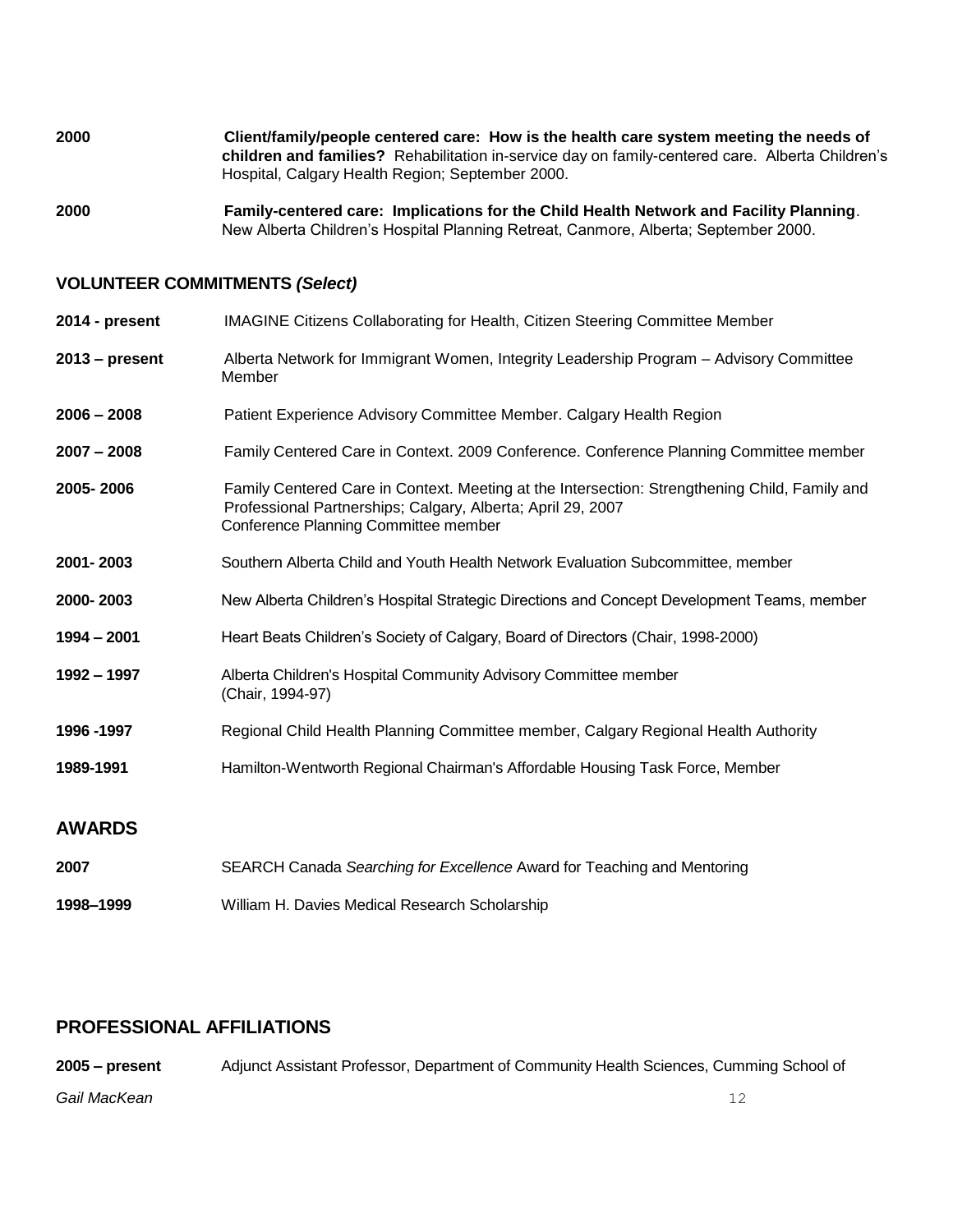**2000 Client/family/people centered care: How is the health care system meeting the needs of children and families?** Rehabilitation in-service day on family-centered care. Alberta Children's Hospital, Calgary Health Region; September 2000.

**2000 Family-centered care: Implications for the Child Health Network and Facility Planning**. New Alberta Children's Hospital Planning Retreat, Canmore, Alberta; September 2000.

#### **VOLUNTEER COMMITMENTS** *(Select)*

| $2014$ - present | <b>IMAGINE Citizens Collaborating for Health, Citizen Steering Committee Member</b>                                                                                                                  |
|------------------|------------------------------------------------------------------------------------------------------------------------------------------------------------------------------------------------------|
| $2013 - present$ | Alberta Network for Immigrant Women, Integrity Leadership Program - Advisory Committee<br>Member                                                                                                     |
| $2006 - 2008$    | Patient Experience Advisory Committee Member. Calgary Health Region                                                                                                                                  |
| $2007 - 2008$    | Family Centered Care in Context. 2009 Conference. Conference Planning Committee member                                                                                                               |
| 2005-2006        | Family Centered Care in Context. Meeting at the Intersection: Strengthening Child, Family and<br>Professional Partnerships; Calgary, Alberta; April 29, 2007<br>Conference Planning Committee member |
| 2001-2003        | Southern Alberta Child and Youth Health Network Evaluation Subcommittee, member                                                                                                                      |
| 2000-2003        | New Alberta Children's Hospital Strategic Directions and Concept Development Teams, member                                                                                                           |
| 1994 - 2001      | Heart Beats Children's Society of Calgary, Board of Directors (Chair, 1998-2000)                                                                                                                     |
| 1992 - 1997      | Alberta Children's Hospital Community Advisory Committee member<br>(Chair, 1994-97)                                                                                                                  |
| 1996 - 1997      | Regional Child Health Planning Committee member, Calgary Regional Health Authority                                                                                                                   |
| 1989-1991        | Hamilton-Wentworth Regional Chairman's Affordable Housing Task Force, Member                                                                                                                         |
| <b>AWARDS</b>    |                                                                                                                                                                                                      |

**2007** SEARCH Canada *Searching for Excellence* Award for Teaching and Mentoring **1998–1999** William H. Davies Medical Research Scholarship

## **PROFESSIONAL AFFILIATIONS**

*Gail MacKean* 12 **2005 – present** Adjunct Assistant Professor, Department of Community Health Sciences, Cumming School of